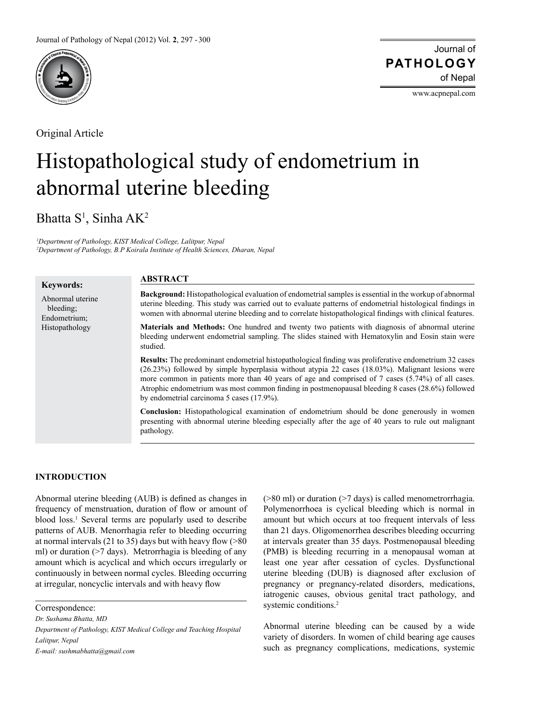

Original Article

Journal of of Nepal **PATHOLOGY**

www.acpnepal.com

# Histopathological study of endometrium in abnormal uterine bleeding

Bhatta S<sup>1</sup>, Sinha AK<sup>2</sup>

*1 Department of Pathology, KIST Medical College, Lalitpur, Nepal 2 Department of Pathology, B.P Koirala Institute of Health Sciences, Dharan, Nepal*

| <b>Keywords:</b>                                                | <b>ABSTRACT</b>                                                                                                                                                                                                                                                                                                                                                                                                                                                       |  |  |  |  |  |  |
|-----------------------------------------------------------------|-----------------------------------------------------------------------------------------------------------------------------------------------------------------------------------------------------------------------------------------------------------------------------------------------------------------------------------------------------------------------------------------------------------------------------------------------------------------------|--|--|--|--|--|--|
| Abnormal uterine<br>bleeding:<br>Endometrium:<br>Histopathology | <b>Background:</b> Histopathological evaluation of endometrial samples is essential in the workup of abnormal<br>uterine bleeding. This study was carried out to evaluate patterns of endometrial histological findings in<br>women with abnormal uterine bleeding and to correlate histopathological findings with clinical features.                                                                                                                                |  |  |  |  |  |  |
|                                                                 | <b>Materials and Methods:</b> One hundred and twenty two patients with diagnosis of abnormal uterine<br>bleeding underwent endometrial sampling. The slides stained with Hematoxylin and Eosin stain were<br>studied.                                                                                                                                                                                                                                                 |  |  |  |  |  |  |
|                                                                 | <b>Results:</b> The predominant endometrial histopathological finding was proliferative endometrium 32 cases<br>(26.23%) followed by simple hyperplasia without atypia 22 cases (18.03%). Malignant lesions were<br>more common in patients more than 40 years of age and comprised of 7 cases (5.74%) of all cases.<br>Atrophic endometrium was most common finding in postmenopausal bleeding 8 cases (28.6%) followed<br>by endometrial carcinoma 5 cases (17.9%). |  |  |  |  |  |  |
|                                                                 | <b>Conclusion:</b> Histopathological examination of endometrium should be done generously in women<br>presenting with abnormal uterine bleeding especially after the age of 40 years to rule out malignant<br>pathology.                                                                                                                                                                                                                                              |  |  |  |  |  |  |

## **INTRODUCTION**

Abnormal uterine bleeding (AUB) is defined as changes in frequency of menstruation, duration of flow or amount of blood loss.<sup>1</sup> Several terms are popularly used to describe patterns of AUB. Menorrhagia refer to bleeding occurring at normal intervals (21 to 35) days but with heavy flow (>80 ml) or duration (>7 days). Metrorrhagia is bleeding of any amount which is acyclical and which occurs irregularly or continuously in between normal cycles. Bleeding occurring at irregular, noncyclic intervals and with heavy flow

Correspondence:

*Dr. Sushama Bhatta, MD*

*Department of Pathology, KIST Medical College and Teaching Hospital Lalitpur, Nepal E-mail: sushmabhatta@gmail.com*

(>80 ml) or duration (>7 days) is called menometrorrhagia. Polymenorrhoea is cyclical bleeding which is normal in amount but which occurs at too frequent intervals of less than 21 days. Oligomenorrhea describes bleeding occurring at intervals greater than 35 days. Postmenopausal bleeding (PMB) is bleeding recurring in a menopausal woman at least one year after cessation of cycles. Dysfunctional uterine bleeding (DUB) is diagnosed after exclusion of pregnancy or pregnancy-related disorders, medications, iatrogenic causes, obvious genital tract pathology, and systemic conditions.<sup>2</sup>

Abnormal uterine bleeding can be caused by a wide variety of disorders. In women of child bearing age causes such as pregnancy complications, medications, systemic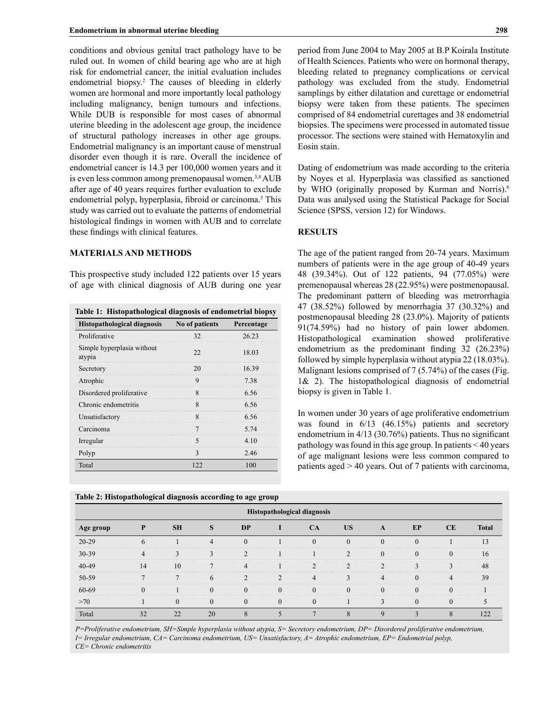conditions and obvious genital tract pathology have to be ruled out. In women of child bearing age who are at high risk for endometrial cancer, the initial evaluation includes endometrial biopsy.<sup>2</sup> The causes of bleeding in elderly women are hormonal and more importantly local pathology including malignancy, benign tumours and infections. While DUB is responsible for most cases of abnormal uterine bleeding in the adolescent age group, the incidence of structural pathology increases in other age groups. Endometrial malignancy is an important cause of menstrual disorder even though it is rare. Overall the incidence of endometrial cancer is 14.3 per 100,000 women years and it is even less common among premenopausal women.3,4 AUB after age of 40 years requires further evaluation to exclude endometrial polyp, hyperplasia, fibroid or carcinoma.<sup>5</sup> This study was carried out to evaluate the patterns of endometrial histological findings in women with AUB and to correlate these findings with clinical features.

#### **MATERIALS AND METHODS**

This prospective study included 122 patients over 15 years of age with clinical diagnosis of AUB during one year

| Histopathological diagnosis No of patients |     | <b>Percentage</b> |  |  |
|--------------------------------------------|-----|-------------------|--|--|
| Proliferative                              |     | 26.23             |  |  |
| Simple hyperplasia without<br>atypia       | つつ  | 18.03             |  |  |
| Secretory                                  | 20  | 1639              |  |  |
| Atrophic                                   | 9   | 738               |  |  |
| Disordered proliferative                   | 8   | 6.56              |  |  |
| Chronic endometritis                       | 8   | 6.56              |  |  |
| Unsatisfactory                             | 8   | 6.56              |  |  |
| Carcinoma                                  |     | 5.74              |  |  |
| Irregular                                  | 5   | 4 10              |  |  |
| Polyp                                      | 3   | 2.46              |  |  |
| Total                                      | 122 | 100               |  |  |

**Table 2: Histopathological diagnosis according to age group**

period from June 2004 to May 2005 at B.P Koirala Institute of Health Sciences. Patients who were on hormonal therapy, bleeding related to pregnancy complications or cervical pathology was excluded from the study. Endometrial samplings by either dilatation and curettage or endometrial biopsy were taken from these patients. The specimen comprised of 84 endometrial curettages and 38 endometrial biopsies. The specimens were processed in automated tissue processor. The sections were stained with Hematoxylin and Eosin stain.

Dating of endometrium was made according to the criteria by Noyes et al. Hyperplasia was classified as sanctioned by WHO (originally proposed by Kurman and Norris).<sup>6</sup> Data was analysed using the Statistical Package for Social Science (SPSS, version 12) for Windows.

#### **RESULTS**

The age of the patient ranged from 20-74 years. Maximum numbers of patients were in the age group of 40-49 years 48 (39.34%). Out of 122 patients, 94 (77.05%) were premenopausal whereas 28 (22.95%) were postmenopausal. The predominant pattern of bleeding was metrorrhagia 47 (38.52%) followed by menorrhagia 37 (30.32%) and postmenopausal bleeding 28 (23.0%). Majority of patients 91(74.59%) had no history of pain lower abdomen. Histopathological examination showed proliferative endometrium as the predominant finding 32 (26.23%) followed by simple hyperplasia without atypia 22 (18.03%). Malignant lesions comprised of 7 (5.74%) of the cases (Fig. 1& 2). The histopathological diagnosis of endometrial biopsy is given in Table 1.

In women under 30 years of age proliferative endometrium was found in  $6/13$  (46.15%) patients and secretory endometrium in 4/13 (30.76%) patients. Thus no significant pathology was found in this age group. In patients < 40 years of age malignant lesions were less common compared to patients aged > 40 years. Out of 7 patients with carcinoma,

| <b>Histopathological diagnosis</b> |    |              |          |           |           |               |           |             |          |           |              |  |  |
|------------------------------------|----|--------------|----------|-----------|-----------|---------------|-----------|-------------|----------|-----------|--------------|--|--|
| Age group                          |    | <b>SH</b>    | S        | <b>DP</b> |           | CA            | <b>US</b> | A           | EP       | <b>CE</b> | <b>Total</b> |  |  |
| $20-29$                            |    |              | 4        | $\Omega$  |           | $\Omega$      | $\theta$  | $\Omega$    | $\Omega$ |           | 13           |  |  |
| 30-39                              |    | $\mathbf{R}$ |          | $\bigcap$ |           |               | $\gamma$  | $\Omega$    | $\Omega$ | $\Omega$  | 16           |  |  |
| 40-49                              | 14 | 10           |          | 4         |           | $\mathcal{D}$ | C         | C           | ς        | 3         | 48           |  |  |
| 50-59                              |    | −            | 6        | $\sim$    | $\bigcap$ |               | $\bigcap$ | 4           | $\Omega$ |           | 39           |  |  |
| 60-69                              |    |              | $\Omega$ | $\Omega$  | $\Omega$  | $\Omega$      | $\Omega$  | $\Omega$    | $\Omega$ | $\Omega$  |              |  |  |
| >70                                |    | $\Omega$     | $\Omega$ | $\Omega$  | $\theta$  | $\Omega$      |           | 3           | $\Omega$ | $\Omega$  |              |  |  |
| Total                              | 32 | 22           | 20       |           |           |               |           | $\mathbf Q$ |          | 8         | 122          |  |  |

*P=Proliferative endometrium, SH=Simple hyperplasia without atypia, S= Secretory endometrium, DP= Disordered proliferative endometrium, I= Irregular endometrium, CA= Carcinoma endometrium, US= Unsatisfactory, A= Atrophic endometrium, EP= Endometrial polyp, CE= Chronic endometritis*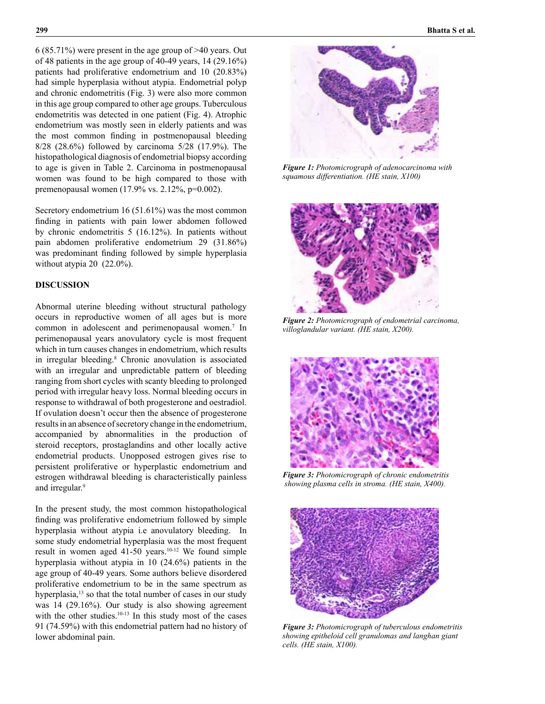6 (85.71%) were present in the age group of >40 years. Out of 48 patients in the age group of 40-49 years, 14 (29.16%) patients had proliferative endometrium and 10 (20.83%) had simple hyperplasia without atypia. Endometrial polyp and chronic endometritis (Fig. 3) were also more common in this age group compared to other age groups. Tuberculous endometritis was detected in one patient (Fig. 4). Atrophic endometrium was mostly seen in elderly patients and was the most common finding in postmenopausal bleeding 8/28 (28.6%) followed by carcinoma 5/28 (17.9%). The histopathological diagnosis of endometrial biopsy according to age is given in Table 2. Carcinoma in postmenopausal women was found to be high compared to those with premenopausal women (17.9% vs. 2.12%, p=0.002).

Secretory endometrium 16 (51.61%) was the most common finding in patients with pain lower abdomen followed by chronic endometritis 5 (16.12%). In patients without pain abdomen proliferative endometrium 29 (31.86%) was predominant finding followed by simple hyperplasia without atypia 20 (22.0%).

## **DISCUSSION**

Abnormal uterine bleeding without structural pathology occurs in reproductive women of all ages but is more common in adolescent and perimenopausal women.<sup>7</sup> In perimenopausal years anovulatory cycle is most frequent which in turn causes changes in endometrium, which results in irregular bleeding.<sup>8</sup> Chronic anovulation is associated with an irregular and unpredictable pattern of bleeding ranging from short cycles with scanty bleeding to prolonged period with irregular heavy loss. Normal bleeding occurs in response to withdrawal of both progesterone and oestradiol. If ovulation doesn't occur then the absence of progesterone results in an absence of secretory change in the endometrium, accompanied by abnormalities in the production of steroid receptors, prostaglandins and other locally active endometrial products. Unopposed estrogen gives rise to persistent proliferative or hyperplastic endometrium and estrogen withdrawal bleeding is characteristically painless and irregular.<sup>9</sup>

In the present study, the most common histopathological finding was proliferative endometrium followed by simple hyperplasia without atypia i.e anovulatory bleeding. In some study endometrial hyperplasia was the most frequent result in women aged 41-50 years.<sup>10-12</sup> We found simple hyperplasia without atypia in 10 (24.6%) patients in the age group of 40-49 years. Some authors believe disordered proliferative endometrium to be in the same spectrum as hyperplasia,<sup>13</sup> so that the total number of cases in our study was 14 (29.16%). Our study is also showing agreement with the other studies.<sup>10-13</sup> In this study most of the cases 91 (74.59%) with this endometrial pattern had no history of lower abdominal pain.



*Figure 1: Photomicrograph of adenocarcinoma with squamous differentiation. (HE stain, X100)*



*Figure 2: Photomicrograph of endometrial carcinoma, villoglandular variant. (HE stain, X200).*



*Figure 3: Photomicrograph of chronic endometritis showing plasma cells in stroma. (HE stain, X400).*



*Figure 3: Photomicrograph of tuberculous endometritis showing epitheloid cell granulomas and langhan giant cells. (HE stain, X100).*